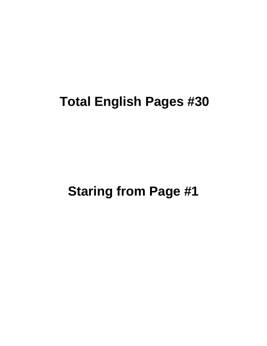# **Total English Pages #30**

**Staring from Page #1**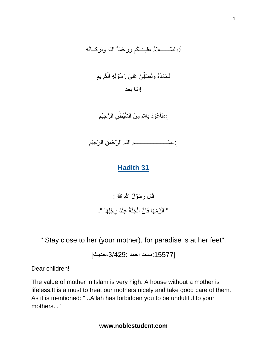#### ُ السَّـــــــــلاَمُ عَلَيــْـــكُم وَرَحْمَةُ اللهِ وَبَرَكَــَاثُه َ

#### نَحْمَدُهُ وَنُصَلِّيْ عَلَىٰ رَسُوْلِهِ الْكَرِيم ْ ا<br>ا ِ į !ا ّما بعد

ِّ فَاَعُوْذُ بِالل*َّهِ مِنَ* الشَّيْطٰ*نِ الرَّ*حِيْم

 **ُ**بِسْـــــــــــــــــــــــمِ اللہِ الرَّحْمٰنِ الرَّحِيْم

### **Hadith 31**

قَالَ رَسُوۡلُ اللّٰہِ ﷺ : " اِلْزَمۡهَا فَاِنَّ الۡجَنَّةَ عِنۡدَ رِجۡلِهَا "۔

" Stay close to her (your mother), for paradise is at her feet".

[:15577مسند احمد ،3/429:حديث]

Dear children!

The value of mother in Islam is very high. A house without a mother is lifeless.It is a must to treat our mothers nicely and take good care of them. As it is mentioned: "...Allah has forbidden you to be undutiful to your mothers..."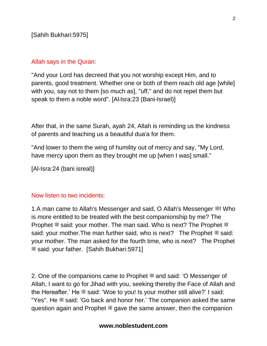#### Allah says in the Quran:

"And your Lord has decreed that you not worship except Him, and to parents, good treatment. Whether one or both of them reach old age [while] with you, say not to them [so much as], "uff," and do not repel them but speak to them a noble word". [Al-Isra:23 (Bani-Israel)]

After that, in the same Surah, ayah 24, Allah is reminding us the kindness of parents and teaching us a beautiful dua'a for them.

"And lower to them the wing of humility out of mercy and say, "My Lord, have mercy upon them as they brought me up [when I was] small."

[Al-Isra:24 (bani isreal)]

#### Now listen to two incidents:

1.A man came to Allah's Messenger and said, O Allah's Messenger  $\ddot{\text{m}}$ ! Who is more entitled to be treated with the best companionship by me? The Prophet  $\stackrel{\text{{\footnotesize def}}}{\text{{\footnotesize def}}}$  said: your mother. The man said. Who is next? The Prophet  $\stackrel{\text{{\footnotesize def}}}{\text{{\footnotesize def}}}$ said: your mother. The man further said, who is next? The Prophet  $\equiv$  said: your mother. The man asked for the fourth time, who is next? The Prophet صلى الله عليه وسلم said: your father. [Sahih Bukhari:5971]

2. One of the companions came to Prophet  $\stackrel{\text{def}}{=}$  and said: 'O Messenger of Allah, I want to go for Jihad with you, seeking thereby the Face of Allah and the Hereafter.' He  $\ddot{\mathcal{L}}$  said: 'Woe to you! Is your mother still alive?' I said: "Yes". He  $*$  said: 'Go back and honor her.' The companion asked the same guestion again and Prophet  $\stackrel{\text{*}}{=}$  gave the same answer, then the companion

2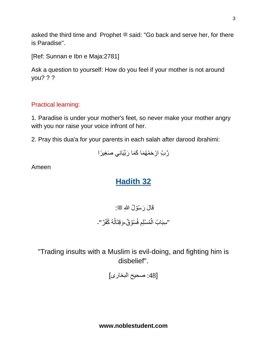asked the third time and Prophet  $\stackrel{\text{\tiny def}}{=}$  said: "Go back and serve her, for there is Paradise".

[Ref: Sunnan e Ibn e Maja:2781]

Ask a question to yourself: How do you feel if your mother is not around you? ? ?

### Practical learning:

1. Paradise is under your mother's feet, so never make your mother angry with you nor raise your voice infront of her.

2. Pray this dua'a for your parents in each salah after darood ibrahimi:

رَّبَّ ارْحَمْهُمَا كَمَا رَبَّيَانِي صَغِيرًا

Ameen

# **Hadith 32**

قَالَ رَسُوۡلُ اللّٰهِ ﷺ: "سِبَابُ الْمُسَلِّمِ فُسُوَقٌ،وَقِتَالُهُ كُفِّرٌ"۔ ُ

"Trading insults with a Muslim is evil-doing, and fighting him is disbelief".

[:48 صحیح البخاری]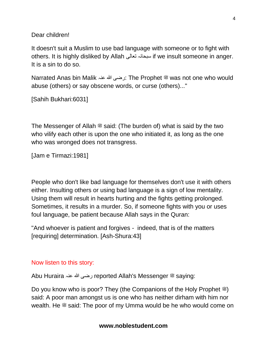Dear children!

It doesn't suit a Muslim to use bad language with someone or to fight with others. It is highly disliked by Allah تعالی سبحانہ if we insult someone in anger. It is a sin to do so.

Narrated Anas bin Malik عنہ هللا رضی: The Prophet صلى الله عليه وسلم was not one who would abuse (others) or say obscene words, or curse (others)..."

[Sahih Bukhari:6031]

The Messenger of Allah  $\mathcal{F}$  said: (The burden of) what is said by the two who vilify each other is upon the one who initiated it, as long as the one who was wronged does not transgress.

[Jam e Tirmazi:1981]

People who don't like bad language for themselves don't use it with others either. Insulting others or using bad language is a sign of low mentality. Using them will result in hearts hurting and the fights getting prolonged. Sometimes, it results in a murder. So, if someone fights with you or uses foul language, be patient because Allah says in the Quran:

"And whoever is patient and forgives - indeed, that is of the matters [requiring] determination. [Ash-Shura:43]

#### Now listen to this story:

Abu Huraira عنہ هللا رضی reported Allah's Messenger صلى الله عليه وسلم saying:

Do you know who is poor? They (the Companions of the Holy Prophet  $\ddot{\mathcal{Z}}$ ) said: A poor man amongst us is one who has neither dirham with him nor wealth. He  $\ddot{\text{m}}$  said: The poor of my Umma would be he who would come on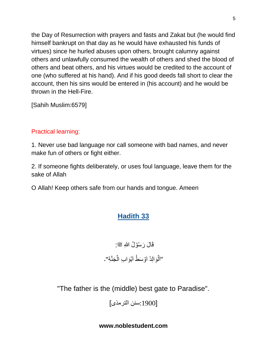the Day of Resurrection with prayers and fasts and Zakat but (he would find himself bankrupt on that day as he would have exhausted his funds of virtues) since he hurled abuses upon others, brought calumny against others and unlawfully consumed the wealth of others and shed the blood of others and beat others, and his virtues would be credited to the account of one (who suffered at his hand). And if his good deeds fall short to clear the account, then his sins would be entered in (his account) and he would be thrown in the Hell-Fire.

[Sahih Muslim:6579]

#### Practical learning:

1. Never use bad language nor call someone with bad names, and never make fun of others or fight either.

2. If someone fights deliberately, or uses foul language, leave them for the sake of Allah

O Allah! Keep others safe from our hands and tongue. Ameen

## **Hadith 33**

قَالَ رَسُوۡلُ اللّٰهِ ﷺ: "اَلَّوَالِدُ اَوَّسَطُْ اَبْوَابِ الْجَنَّةِ"۔

"The father is the (middle) best gate to Paradise".

[:1900سنن الترمذی]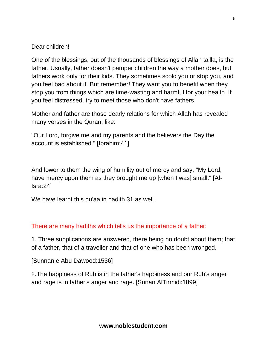#### Dear children!

One of the blessings, out of the thousands of blessings of Allah ta'lla, is the father. Usually, father doesn't pamper children the way a mother does, but fathers work only for their kids. They sometimes scold you or stop you, and you feel bad about it. But remember! They want you to benefit when they stop you from things which are time-wasting and harmful for your health. If you feel distressed, try to meet those who don't have fathers.

Mother and father are those dearly relations for which Allah has revealed many verses in the Quran, like:

"Our Lord, forgive me and my parents and the believers the Day the account is established." [Ibrahim:41]

And lower to them the wing of humility out of mercy and say, "My Lord, have mercy upon them as they brought me up [when I was] small." [Al-Isra:24]

We have learnt this du'aa in hadith 31 as well.

#### There are many hadiths which tells us the importance of a father:

1. Three supplications are answered, there being no doubt about them; that of a father, that of a traveller and that of one who has been wronged.

[Sunnan e Abu Dawood:1536]

2.The happiness of Rub is in the father's happiness and our Rub's anger and rage is in father's anger and rage. [Sunan AlTirmidi:1899]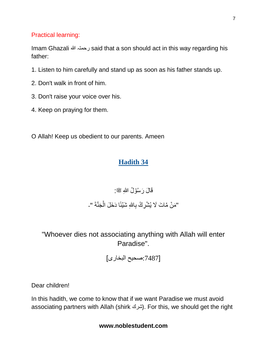#### Practical learning:

Imam Ghazali هللا رحمتہ said that a son should act in this way regarding his father:

- 1. Listen to him carefully and stand up as soon as his father stands up.
- 2. Don't walk in front of him.
- 3. Don't raise your voice over his.
- 4. Keep on praying for them.

O Allah! Keep us obedient to our parents. Ameen

### **Hadith 34**

# قَالَ رَسُوۡلُ اللّٰهِ ﷺ: "مَنۡ مَّاتَ لَا يُشۡرِكُۢ بِاللّٰهِ شَيۡئًا دَخَلَ الۡجَنَّةَ "۔

## "Whoever dies not associating anything with Allah will enter Paradise".

[:7487صحیح البخاری]

Dear children!

In this hadith, we come to know that if we want Paradise we must avoid associating partners with Allah (shirk شرك). For this, we should get the right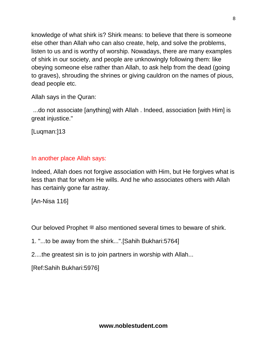knowledge of what shirk is? Shirk means: to believe that there is someone else other than Allah who can also create, help, and solve the problems, listen to us and is worthy of worship. Nowadays, there are many examples of shirk in our society, and people are unknowingly following them: like obeying someone else rather than Allah, to ask help from the dead (going to graves), shrouding the shrines or giving cauldron on the names of pious, dead people etc.

Allah says in the Quran:

...do not associate [anything] with Allah . Indeed, association [with Him] is great injustice."

[Luqman:]13

#### In another place Allah says:

Indeed, Allah does not forgive association with Him, but He forgives what is less than that for whom He wills. And he who associates others with Allah has certainly gone far astray.

[An-Nisa 116]

Our beloved Prophet  $*$  also mentioned several times to beware of shirk.

- 1. "...to be away from the shirk...".[Sahih Bukhari:5764]
- 2....the greatest sin is to join partners in worship with Allah...

[Ref:Sahih Bukhari:5976]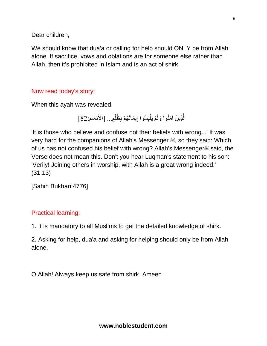Dear children,

We should know that dua'a or calling for help should ONLY be from Allah alone. If sacrifice, vows and oblations are for someone else rather than Allah, then it's prohibited in Islam and is an act of shirk.

#### Now read today's story:

When this ayah was revealed:

الَّذِينَ آمَنُوا وَلَمْ يَلْبِسُوا إِيمَانَهُمْ بِظُلْمٍ... [الأنعام:82] ْ ْ ِ

'It is those who believe and confuse not their beliefs with wrong...' It was very hard for the companions of Allah's Messenger  $\ddot{\mathcal{F}}$ , so they said: Which of us has not confused his belief with wrong? Allah's Messenger<sup>or</sup> said, the Verse does not mean this. Don't you hear Luqman's statement to his son: 'Verily! Joining others in worship, with Allah is a great wrong indeed.' (31.13)

[Sahih Bukhari:4776]

#### Practical learning:

1. It is mandatory to all Muslims to get the detailed knowledge of shirk.

2. Asking for help, dua'a and asking for helping should only be from Allah alone.

O Allah! Always keep us safe from shirk. Ameen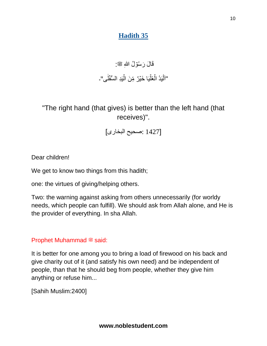## **Hadith 35**

# قَالَ رَسُوۡلُ اللّٰهِ ﷺ:

#### "اَلْيَدُ الْعُلَّيَا خَيْرٌ مِّنَ الّْيَدِ الْسُّفَلٰى"۔ ٰ ْ

"The right hand (that gives) is better than the left hand (that receives)".

[1427 :صحیح البخاری]

Dear children!

We get to know two things from this hadith;

one: the virtues of giving/helping others.

Two: the warning against asking from others unnecessarily (for worldy needs, which people can fulfill). We should ask from Allah alone, and He is the provider of everything. In sha Allah.

### Prophet Muhammad . said:

It is better for one among you to bring a load of firewood on his back and give charity out of it (and satisfy his own need) and be independent of people, than that he should beg from people, whether they give him anything or refuse him...

[Sahih Muslim:2400]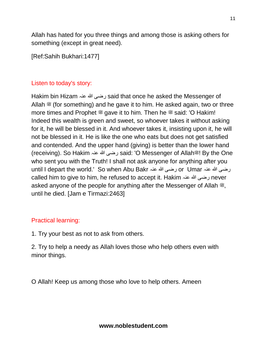Allah has hated for you three things and among those is asking others for something (except in great need).

[Ref:Sahih Bukhari:1477]

#### Listen to today's story:

Hakim bin Hizam عنہ هللا رضی said that once he asked the Messenger of Allah  $\mathcal{L}$  (for something) and he gave it to him. He asked again, two or three more times and Prophet  $\ddot{\mathcal{F}}$  gave it to him. Then he  $\ddot{\mathcal{F}}$  said: 'O Hakim! Indeed this wealth is green and sweet, so whoever takes it without asking for it, he will be blessed in it. And whoever takes it, insisting upon it, he will not be blessed in it. He is like the one who eats but does not get satisfied and contended. And the upper hand (giving) is better than the lower hand (receiving). So Hakim عنہ هللا رضی said: 'O Messenger of Allahصلى الله عليه وسلم !By the One who sent you with the Truth! I shall not ask anyone for anything after you until I depart the world.' So when Abu Bakr عنہ هللا رضی or Umar عنہ هللا رضی called him to give to him, he refused to accept it. Hakim عنہ هللا رضی never asked anyone of the people for anything after the Messenger of Allah  $\ddot{\mathcal{Z}}$ , until he died. [Jam e Tirmazi:2463]

#### Practical learning:

1. Try your best as not to ask from others.

2. Try to help a needy as Allah loves those who help others even with minor things.

O Allah! Keep us among those who love to help others. Ameen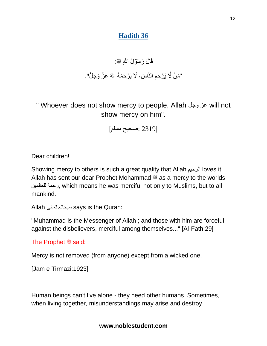### **Hadith 36**

# قَالَ رَسُوۡلُ اللّٰهِ ﷺ:

# "مَنْ لَّا يَرۡحَمِ النَّاسَ، لَا يَرۡحَمۡهُ اللّٰهُ عَزَّ وَجَلَّ"۔

" Whoever does not show mercy to people, Allah وجل عز will not show mercy on him".

[2319 :صحیح مسلم]

Dear children!

Showing mercy to others is such a great quality that Allah الرحیم loves it. Allah has sent our dear Prophet Mohammad  $\ddot{\mathcal{E}}$  as a mercy to the worlds للعالمین رحمة, which means he was merciful not only to Muslims, but to all mankind.

Allah تعالی سبحانہ says is the Quran:

"Muhammad is the Messenger of Allah ; and those with him are forceful against the disbelievers, merciful among themselves..." [Al-Fath:29]

The Prophet  $*$  said:

Mercy is not removed (from anyone) except from a wicked one.

```
[Jam e Tirmazi:1923]
```
Human beings can't live alone - they need other humans. Sometimes, when living together, misunderstandings may arise and destroy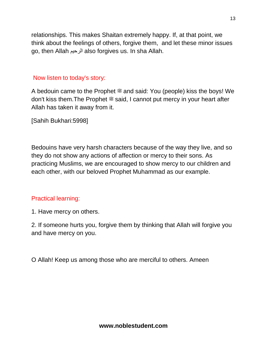relationships. This makes Shaitan extremely happy. If, at that point, we think about the feelings of others, forgive them, and let these minor issues go, then Allah الرحیم also forgives us. In sha Allah.

#### Now listen to today's story:

A bedouin came to the Prophet  $\stackrel{\text{def}}{=}$  and said: You (people) kiss the boys! We don't kiss them. The Prophet  $\equiv$  said, I cannot put mercy in your heart after Allah has taken it away from it.

[Sahih Bukhari:5998]

Bedouins have very harsh characters because of the way they live, and so they do not show any actions of affection or mercy to their sons. As practicing Muslims, we are encouraged to show mercy to our children and each other, with our beloved Prophet Muhammad as our example.

#### Practical learning:

1. Have mercy on others.

2. If someone hurts you, forgive them by thinking that Allah will forgive you and have mercy on you.

O Allah! Keep us among those who are merciful to others. Ameen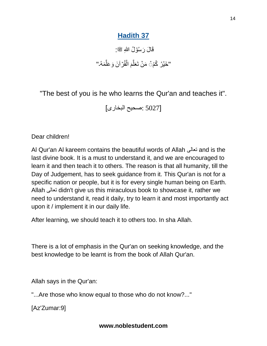# **Hadith 37**

قَالَ رَسُوۡلُ اللّٰهِ ﷺ: "خَيۡرُ ۚ كُمْۡ َمَنۡ تَعَلَّمَ الۡقُرۡاَنَ وَعَلَّمَهُۦ" َّ َ َّ

"The best of you is he who learns the Qur'an and teaches it".

[5027 :صحیح البخاری]

Dear children!

Al Qur'an Al kareem contains the beautiful words of Allah تعالى and is the last divine book. It is a must to understand it, and we are encouraged to learn it and then teach it to others. The reason is that all humanity, till the Day of Judgement, has to seek guidance from it. This Qur'an is not for a specific nation or people, but it is for every single human being on Earth. Allah تعالى didn't give us this miraculous book to showcase it, rather we need to understand it, read it daily, try to learn it and most importantly act upon it / implement it in our daily life.

After learning, we should teach it to others too. In sha Allah.

There is a lot of emphasis in the Qur'an on seeking knowledge, and the best knowledge to be learnt is from the book of Allah Qur'an.

Allah says in the Qur'an:

"...Are those who know equal to those who do not know?..."

[Az'Zumar:9]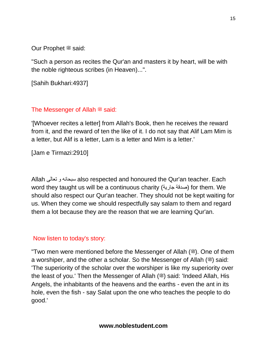Our Prophet  $\stackrel{\text{\tiny def}}{=}$  said:

"Such a person as recites the Qur'an and masters it by heart, will be with the noble righteous scribes (in Heaven)...".

[Sahih Bukhari:4937]

#### The Messenger of Allah  $\stackrel{\text{\tiny def}}{=}$  said:

'[Whoever recites a letter] from Allah's Book, then he receives the reward from it, and the reward of ten the like of it. I do not say that Alif Lam Mim is a letter, but Alif is a letter, Lam is a letter and Mim is a letter.'

[Jam e Tirmazi:2910]

Allah تعالی و سبحانه also respected and honoured the Qur'an teacher. Each word they taught us will be a continuous charity (صدقة جارية) for them. We should also respect our Qur'an teacher. They should not be kept waiting for us. When they come we should respectfully say salam to them and regard them a lot because they are the reason that we are learning Qur'an.

#### Now listen to today's story:

"Two men were mentioned before the Messenger of Allah (ﷺ). One of them a worshiper, and the other a scholar. So the Messenger of Allah ( $\ddot{\text{m}}$ ) said: 'The superiority of the scholar over the worshiper is like my superiority over the least of you.' Then the Messenger of Allah (3) said: 'Indeed Allah, His Angels, the inhabitants of the heavens and the earths - even the ant in its hole, even the fish - say Salat upon the one who teaches the people to do good.'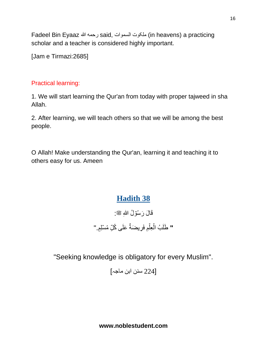Fadeel Bin Eyaaz هللا رحمه said, السموات ملکوت) in heavens) a practicing scholar and a teacher is considered highly important.

[Jam e Tirmazi:2685]

#### Practical learning:

1. We will start learning the Qur'an from today with proper tajweed in sha Allah.

2. After learning, we will teach others so that we will be among the best people.

O Allah! Make understanding the Qur'an, learning it and teaching it to others easy for us. Ameen

# **Hadith 38**

قَالَ رَسُوۡلُ اللّٰهِ ﷺ: **"** طَلَبُ الْعِلْمِ فَرِيضَةٌ عَلَى كُلِّ مُسَلِّمٍ."

"Seeking knowledge is obligatory for every Muslim".

[224 سنن ابن ماجہ]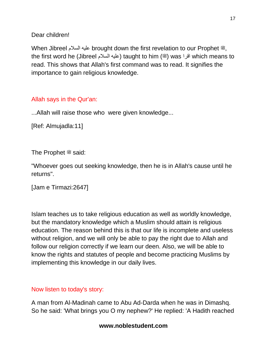Dear children!

When Jibreel عليه السلام brought down the first revelation to our Prophet ﷺ, the first word he (Jibreel المله) taught to him (ﷺ) was اقرا $\,$  which means to read. This shows that Allah's first command was to read. It signifies the importance to gain religious knowledge.

### Allah says in the Qur'an:

...Allah will raise those who were given knowledge...

[Ref: Almujadla:11]

The Prophet  $*$  said:

"Whoever goes out seeking knowledge, then he is in Allah's cause until he returns".

[Jam e Tirmazi:2647]

Islam teaches us to take religious education as well as worldly knowledge, but the mandatory knowledge which a Muslim should attain is religious education. The reason behind this is that our life is incomplete and useless without religion, and we will only be able to pay the right due to Allah and follow our religion correctly if we learn our deen. Also, we will be able to know the rights and statutes of people and become practicing Muslims by implementing this knowledge in our daily lives.

#### Now listen to today's story:

A man from Al-Madinah came to Abu Ad-Darda when he was in Dimashq. So he said: 'What brings you O my nephew?' He replied: 'A Hadith reached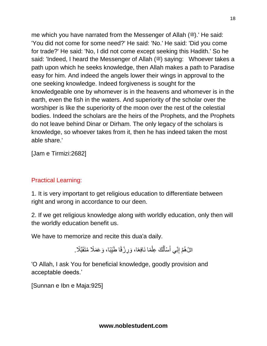me which you have narrated from the Messenger of Allah  $(\mathcal{H})$ . He said: 'You did not come for some need?' He said: 'No.' He said: 'Did you come for trade?' He said: 'No, I did not come except seeking this Hadith.' So he said: 'Indeed, I heard the Messenger of Allah ( $\stackrel{\text{{\rm@}}}{=}$ ) saying: Whoever takes a path upon which he seeks knowledge, then Allah makes a path to Paradise easy for him. And indeed the angels lower their wings in approval to the one seeking knowledge. Indeed forgiveness is sought for the knowledgeable one by whomever is in the heavens and whomever is in the earth, even the fish in the waters. And superiority of the scholar over the worshiper is like the superiority of the moon over the rest of the celestial bodies. Indeed the scholars are the heirs of the Prophets, and the Prophets do not leave behind Dinar or Dirham. The only legacy of the scholars is knowledge, so whoever takes from it, then he has indeed taken the most able share.'

18

[Jam e Tirmizi:2682]

### Practical Learning:

1. It is very important to get religious education to differentiate between right and wrong in accordance to our deen.

2. If we get religious knowledge along with worldly education, only then will the worldly education benefit us.

We have to memorize and recite this dua'a daily.

اللَّ هُمَّ إِنِّي أَسْأَلُكَ عِلْمًا نَافِعًا، وَرِزْقًا طَيِّبًا، وَعَمَلًا مُتَقَبَّلًا. ْ ُ َ َ ِ

'O Allah, I ask You for beneficial knowledge, goodly provision and acceptable deeds.'

[Sunnan e Ibn e Maja:925]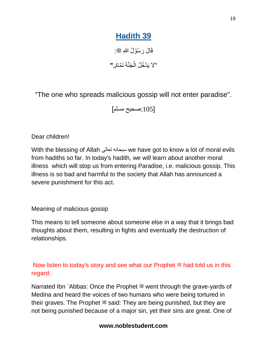# **Hadith 39**

قَالَ رَسُوۡلُ اللّٰهِ ﷺ: "لَا یَدۡ**خُلُ الۡجَنَّةَ نَمَّامٌ. "** 

"The one who spreads malicious gossip will not enter paradise".

[:105صحیح مسلم]

Dear children!

With the blessing of Allah تعالی سبحانه we have got to know a lot of moral evils from hadiths so far. In today's hadith, we will learn about another moral illness which will stop us from entering Paradise, i.e. malicious gossip. This illness is so bad and harmful to the society that Allah has announced a severe punishment for this act.

Meaning of malicious gossip

This means to tell someone about someone else in a way that it brings bad thoughts about them, resulting in fights and eventually the destruction of relationships.

#### Now listen to today's story and see what our Prophet  $\ddot{\mathcal{F}}$  had told us in this regard:

Narrated Ibn `Abbas: Once the Prophet  $\stackrel{\text{\tiny def}}{=}$  went through the grave-yards of Medina and heard the voices of two humans who were being tortured in their graves. The Prophet  $\ddot{\mathcal{Z}}$  said: They are being punished, but they are not being punished because of a major sin, yet their sins are great. One of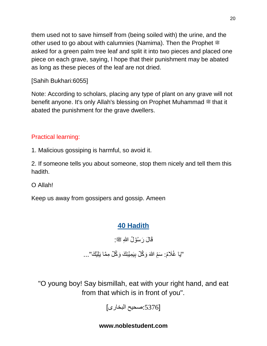them used not to save himself from (being soiled with) the urine, and the other used to go about with calumnies (Namima). Then the Prophet  $\ddot{\mathcal{Z}}$ asked for a green palm tree leaf and split it into two pieces and placed one piece on each grave, saying, I hope that their punishment may be abated as long as these pieces of the leaf are not dried.

#### [Sahih Bukhari:6055]

Note: According to scholars, placing any type of plant on any grave will not benefit anyone. It's only Allah's blessing on Prophet Muhammad  $\stackrel{\text{\#}}{ }$  that it abated the punishment for the grave dwellers.

#### Practical learning:

1. Malicious gossiping is harmful, so avoid it.

2. If someone tells you about someone, stop them nicely and tell them this hadith.

O Allah!

Keep us away from gossipers and gossip. Ameen

## **40 Hadith**

قَالَ رَسُوۡلُ اللّٰهِ ﷺ:

"يَا غُلَامُ: سَمِّ اللهَ وَكُُلِّ بِيَمِيْنِكَ وَكُلِّ مِمَّا يَلِيَّكَ"...

"O young boy! Say bismillah, eat with your right hand, and eat from that which is in front of you".

[:5376صحیح البخاری]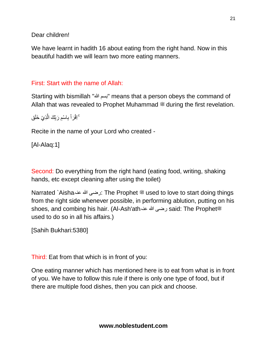Dear children!

We have learnt in hadith 16 about eating from the right hand. Now in this beautiful hadith we will learn two more eating manners.

#### First: Start with the name of Allah:

Starting with bismillah "هللا بسم "means that a person obeys the command of Allah that was revealed to Prophet Muhammad  $\ddot{\mathcal{E}}$  during the first revelation.

ُّ اِقْرَاْ بِاسْمِ رَبِّكَ الَّذِيْ خَلَق َّ ْ

Recite in the name of your Lord who created -

[Al-Alaq:1]

Second: Do everything from the right hand (eating food, writing, shaking hands, etc except cleaning after using the toilet)

Narrated `Aishaعنہ هللا رضی: The Prophet صلى الله عليه وسلم used to love to start doing things from the right side whenever possible, in performing ablution, putting on his said: The Prophet used to do so in all his affairs.)

[Sahih Bukhari:5380]

Third: Eat from that which is in front of you:

One eating manner which has mentioned here is to eat from what is in front of you. We have to follow this rule if there is only one type of food, but if there are multiple food dishes, then you can pick and choose.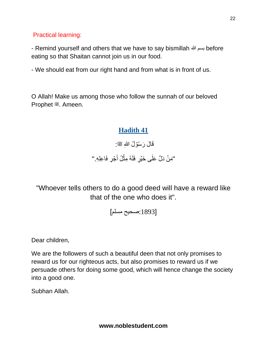Practical learning:

- Remind yourself and others that we have to say bismillah هللا بسم before eating so that Shaitan cannot join us in our food.

- We should eat from our right hand and from what is in front of us.

O Allah! Make us among those who follow the sunnah of our beloved Prophet صلى الله عليه وسلم. Ameen.

## **Hadith 41**

قَالَ رَسُوۡلُ اللّٰهِ ﷺ:

"مَنۡ دَلَّ عَلٰى خَيۡرٍ فَلَهُ مِثۡلُ أَجۡرٍ فَاعِلِهِ." َ ٰ

"Whoever tells others to do a good deed will have a reward like that of the one who does it".

[:1893صحیح مسلم]

Dear children,

We are the followers of such a beautiful deen that not only promises to reward us for our righteous acts, but also promises to reward us if we persuade others for doing some good, which will hence change the society into a good one.

Subhan Allah.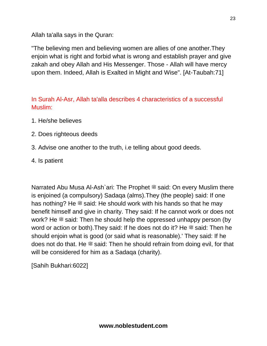Allah ta'alla says in the Quran:

"The believing men and believing women are allies of one another.They enjoin what is right and forbid what is wrong and establish prayer and give zakah and obey Allah and His Messenger. Those - Allah will have mercy upon them. Indeed, Allah is Exalted in Might and Wise". [At-Taubah:71]

In Surah Al-Asr, Allah ta'alla describes 4 characteristics of a successful Muslim:

- 1. He/she believes
- 2. Does righteous deeds
- 3. Advise one another to the truth, i.e telling about good deeds.
- 4. Is patient

Narrated Abu Musa Al-Ash`ari: The Prophet <sup>28</sup> said: On every Muslim there is enjoined (a compulsory) Sadaqa (alms).They (the people) said: If one has nothing? He  $\stackrel{\text{def}}{=}$  said: He should work with his hands so that he may benefit himself and give in charity. They said: If he cannot work or does not work? He  $\ddot{\text{m}}$  said: Then he should help the oppressed unhappy person (by word or action or both). They said: If he does not do it? He  $\approx$  said: Then he should enjoin what is good (or said what is reasonable).' They said: If he does not do that. He  $\ddot{\textbf{x}}$  said: Then he should refrain from doing evil, for that will be considered for him as a Sadaqa (charity).

[Sahih Bukhari:6022]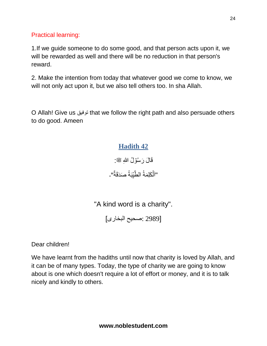Practical learning:

1.If we guide someone to do some good, and that person acts upon it, we will be rewarded as well and there will be no reduction in that person's reward.

2. Make the intention from today that whatever good we come to know, we will not only act upon it, but we also tell others too. In sha Allah.

O Allah! Give us توفیق that we follow the right path and also persuade others to do good. Ameen

## **Hadith 42**

قَالَ رَسُوۡلُ اللّٰهِ ﷺ: "اَلْكَلِمَةُ الطَّيِّبَةُ صَدَقَةٌ".

"A kind word is a charity".

[2989 :صحیح البخاری]

Dear children!

We have learnt from the hadiths until now that charity is loved by Allah, and it can be of many types. Today, the type of charity we are going to know about is one which doesn't require a lot of effort or money, and it is to talk nicely and kindly to others.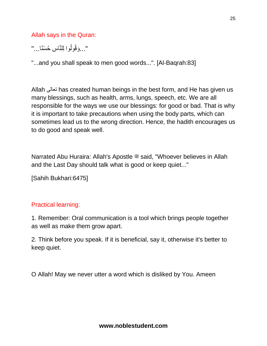Allah says in the Quran:

"…وَقُولُوا لِلنَّاسِ حُسْنًا…"

"...and you shall speak to men good words...". [Al-Baqrah:83]

Allah تعالى has created human beings in the best form, and He has given us many blessings, such as health, arms, lungs, speech, etc. We are all responsible for the ways we use our blessings: for good or bad. That is why it is important to take precautions when using the body parts, which can sometimes lead us to the wrong direction. Hence, the hadith encourages us to do good and speak well.

Narrated Abu Huraira: Allah's Apostle <a>setial, "Whoever believes in Allah and the Last Day should talk what is good or keep quiet..."

[Sahih Bukhari:6475]

#### Practical learning:

1. Remember: Oral communication is a tool which brings people together as well as make them grow apart.

2. Think before you speak. If it is beneficial, say it, otherwise it's better to keep quiet.

O Allah! May we never utter a word which is disliked by You. Ameen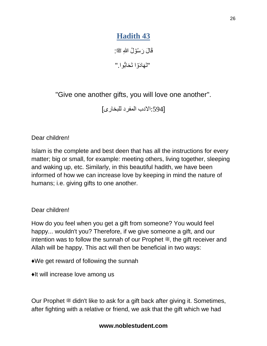# **Hadith 43**

قَالَ رَسُوۡلُ اللّٰهِ ﷺ: "تَهَادَوْا تَحَابُّوا." ،<br>-آ

"Give one another gifts, you will love one another".

[:594اَلدب المفرد للبخاری]

Dear children!

Islam is the complete and best deen that has all the instructions for every matter; big or small, for example: meeting others, living together, sleeping and waking up, etc. Similarly, in this beautiful hadith, we have been informed of how we can increase love by keeping in mind the nature of humans; i.e. giving gifts to one another.

Dear children!

How do you feel when you get a gift from someone? You would feel happy... wouldn't you? Therefore, if we give someone a gift, and our intention was to follow the sunnah of our Prophet  $\ddot{\mathcal{L}}$ , the gift receiver and Allah will be happy. This act will then be beneficial in two ways:

♦️We get reward of following the sunnah

♦️It will increase love among us

Our Prophet  $*$  didn't like to ask for a gift back after giving it. Sometimes, after fighting with a relative or friend, we ask that the gift which we had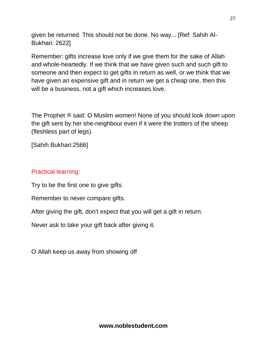given be returned. This should not be done. No way... [Ref: Sahih Al-Bukhari: 2622]

Remember: gifts increase love only if we give them for the sake of Allah and whole-heartedly. If we think that we have given such and such gift to someone and then expect to get gifts in return as well, or we think that we have given an expensive gift and in return we get a cheap one, then this will be a business, not a gift which increases love.

The Prophet  $\stackrel{\text{\tiny def}}{=}$  said: O Muslim women! None of you should look down upon the gift sent by her she-neighbour even if it were the trotters of the sheep (fleshless part of legs).

[Sahih Bukhari:2566]

#### Practical learning:

Try to be the first one to give gifts.

Remember to never compare gifts.

After giving the gift, don't expect that you will get a gift in return.

Never ask to take your gift back after giving it.

O Allah keep us away from showing off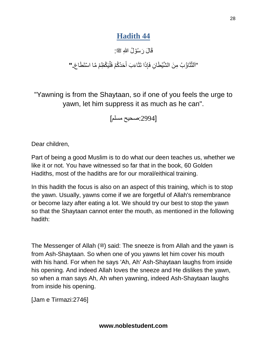# **Hadith 44**

قَالَ رَسُوۡلُ اللّٰهِ ﷺ:

"اَلتَّثَاؤُبُ مِنَ الشَّيِّطَانِ فَإِذَا تَثَاءَبَ أَحَدُكُم<sub>َ</sub> فَلَيَكَظِمَ مَّا اسَتَطَاعَ**\_"** َ

"Yawning is from the Shaytaan, so if one of you feels the urge to yawn, let him suppress it as much as he can".

[:2994صحیح مسلم]

Dear children,

Part of being a good Muslim is to do what our deen teaches us, whether we like it or not. You have witnessed so far that in the book, 60 Golden Hadiths, most of the hadiths are for our moral/eithical training.

In this hadith the focus is also on an aspect of this training, which is to stop the yawn. Usually, yawns come if we are forgetful of Allah's remembrance or become lazy after eating a lot. We should try our best to stop the yawn so that the Shaytaan cannot enter the mouth, as mentioned in the following hadith:

The Messenger of Allah ( $\ddot{\text{m}}$ ) said: The sneeze is from Allah and the yawn is from Ash-Shaytaan. So when one of you yawns let him cover his mouth with his hand. For when he says 'Ah, Ah' Ash-Shaytaan laughs from inside his opening. And indeed Allah loves the sneeze and He dislikes the yawn, so when a man says Ah, Ah when yawning, indeed Ash-Shaytaan laughs from inside his opening.

[Jam e Tirmazi:2746]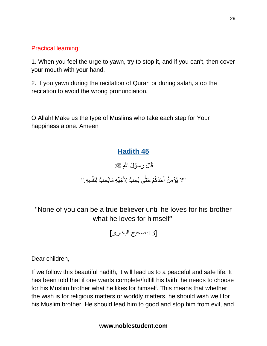Practical learning:

1. When you feel the urge to yawn, try to stop it, and if you can't, then cover your mouth with your hand.

2. If you yawn during the recitation of Quran or during salah, stop the recitation to avoid the wrong pronunciation.

O Allah! Make us the type of Muslims who take each step for Your happiness alone. Ameen

## **Hadith 45**

قَالَ رَسُوۡلُ اللّٰهِ ﷺ:

"لَا يُؤَمِنُ أَحَدُكُمۡ حَتَّى يُحِبَّ لِأَخِيۡهِ مَايُحِبُّ لِنَفۡسِهِ " ُّ .<br>-َ

"None of you can be a true believer until he loves for his brother what he loves for himself".

[:13صحیح البخاری]

Dear children,

If we follow this beautiful hadith, it will lead us to a peaceful and safe life. It has been told that if one wants complete/fulfill his faith, he needs to choose for his Muslim brother what he likes for himself. This means that whether the wish is for religious matters or worldly matters, he should wish well for his Muslim brother. He should lead him to good and stop him from evil, and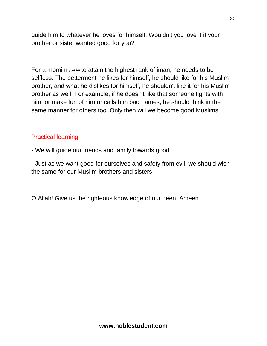guide him to whatever he loves for himself. Wouldn't you love it if your brother or sister wanted good for you?

For a momim مؤمن to attain the highest rank of iman, he needs to be selfless. The betterment he likes for himself, he should like for his Muslim brother, and what he dislikes for himself, he shouldn't like it for his Muslim brother as well. For example, if he doesn't like that someone fights with him, or make fun of him or calls him bad names, he should think in the same manner for others too. Only then will we become good Muslims.

#### Practical learning:

- We will guide our friends and family towards good.

- Just as we want good for ourselves and safety from evil, we should wish the same for our Muslim brothers and sisters.

O Allah! Give us the righteous knowledge of our deen. Ameen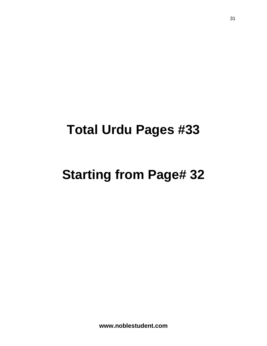# **Total Urdu Pages #33**

# **Starting from Page# 32**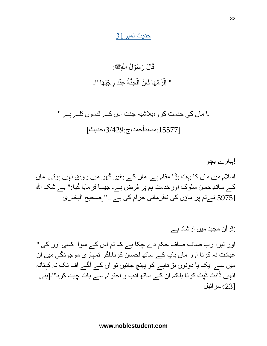### حدیث نمبر31

# قَالَ رَسُوۡلُ اللّٰهِﷺ: " اِلۡزَمۡهَا فَاِنَّ الۡجَنَّةَ عِنۡدَ رِجۡلِهَا "۔

۔"ماں کی خدمت کرو،بالشبہ جنت اس کے قدموں تلے ہے " [:15577مسندأحمد،ج،3/429:حدیث]

!پیارے بچو اسالم میں ماں کا بہت بڑا مقام ہے۔ ماں کے بغیر گهر میں رونق نہیں ہوتی۔ ماں کے ساته حسن سلوک اورخدمت ہم پر فرض ہے۔ جیسا فرمایا گیا:" بے شک هللا [:5975نےتم پر ماؤں کی نافرمانی حرام کی ہے..."]صحیح البخاری

:قرآن مجید میں ارشاد ہے اور تیرا رب صاف صاف حکم دے چکا ہے کہ تم اس کے سوا کسی اور کی " عبادت نہ کرنا اور ماں باپ کے ساته احسان کرنا۔اگر تمہاری موجودگی میں ان میں سے ایک یا دونوں بڑهاپے کو پہنچ جائیں تو ان کے آگے اف تک نہ کہنانہ انہیں ڈانٹ ڈپٹ کرنا بلکہ ان کے ساته ادب و احترام سے بات چیت کرنا"۔]بنی [:23اسرائیل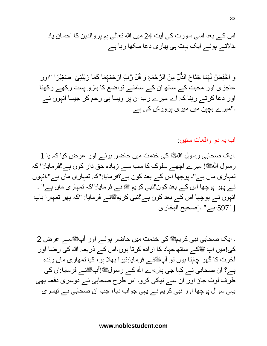وَ اخْفِضْ لَہُمَا جَنَاحَ الذَّلِّ مِنَ الرَّحْمَۃِ وَ قُٰلٌ رَّبِّ ارْحَمۡہُمَا كَمَا رَبَّيْنِیۡ ۖ صَغِيْرًا "اور ُّ عاجزی اور محبت کے ساته ان کے سامنے تواضع کا بازو پست رکهے رکهنا اور دعا کرتے رہنا کہ اے میرے رب ان پر ویسا ہی رحم کر جیسا انہوں نے ۔"میرے بچپن میں میری پرورش کی ہے

اب یہ دو واقعات سنیں:

۔ایک صحابی رسول اللهﷺ کی خدمت میں حاضر ہوئے اور عرض کیا کہ یا 1 رسول اللهﷺ! میرے اچھے سلوک کا سب سے زیادہ حق دار کون ہے؟فرمایا:" کہ تمہاری ماں ہے"۔ پوچها اس کے بعد کون ہے؟فرمایا:"کہ تمہاری ماں ہے"۔انہوں نے پھر پوچھا اس کے بعد کون؟نبی کریم ﷺ نے فرمایا:"کہ تمہاری ماں ہے" ۔ انہوں نے پوچھا اس کے بعد کون ہے؟نبی کریمﷺنے فرمایا: "کہ پھر تمہارا باپ [:5971ہے" ۔]صحیح البخاری

۔ ایک صحابی نبی کریمے کی خدمت میں حاضر ہوئے اور آپﷺسے عرض 2 کی!میں آپ ﷺکے ساتھ جہاد کا ارادہ کرتا ہوں،اس کے ذریعہ الله کی رضا اور آخرت کا گهر چاہتا ہوں تو آپﷺنے فرمایا:تیرا بهلا ہو، کیا تمهاری ماں زندہ ہے؟ ان صحابی نے کہا جی ہاں،اے الله کے رسولﷺ!آپﷺنے فرمایا:ان کی طرف لوٹ جاؤ اور ان سے نیکی کرو۔ اس طرح صحابی نے دوسری دفعہ بهی یہی سوال پوچها اور نبی کریم نے یہی جواب دیا، جب ان صحابی نے تیسری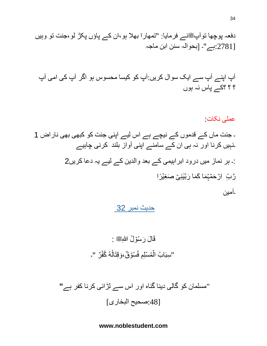دفعہ پوچها توآپصلى الله عليه وسلمنے فرمایا: "تمهارا بهال ہو،ان کے پاؤں پکڑ لو،جنت تو وہیں [:2781ہے"۔ ]بحوالہ سنن ابن ماجہ

آپ اپنے آپ سے ایک سوال کریں:آپ کو کیسا محسوس ہو اگر آپ کی امی آپ ؟ ؟ ؟کے پاس نہ ہوں

عملی نکات: ۔ جنت ماں کے قدموں کے نیچے ہے اس لیے اپنی جنت کو کبهی بهی ناراض 1 ۔نہیں کرنا اور نہ ہی ان کے سامنے اپنی آواز بلند کرنی چاہیے :۔ ہر نماز میں درود ابراہیمی کے بعد والدین کے لیے یہ دعا کریں2 َر َما َکَما َحۡمُہ ینِ ۡی َصِغۡی َّر ِِّب اۡر را بَّٰ ۔آمین

حدیث نمبر 32

َر ُسۡو ُل هللاِ قَا َل صلى الله عليه وسلم : ۡ " ٌر "۔ ُهُ ُكف َوقِتَال ُسۡو ٌق، ِم فُ ُمۡسِل ۡ ِسبَا ُب ال

"مسلمان کو گالی دینا گناہ اور اس سے لڑائی کرنا کفر ہے**"** [:48صحیح البخاری]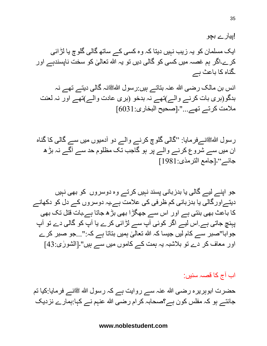!پیارے بچو ایک مسلمان کو یہ زیب نہیں دیتا کہ وہ کسی کے ساته گالی گلوچ یا لڑائی کر ے۔اگر ہم غصہ میں کسی کو گالی دیں تو یہ الله تعالٰیٰ کو سخت ناپسندہے اور ֡**֡** ۔گناہ کا باعث ہے

انس بن مالک رضی الله عنہ بتاتے ہیں:رسول اللهﷺنہ گالی دیتے تهے نہ بدگو)بری بات کرنے والے(تهے نہ بدخو )بری عادت والے(تهے اور نہ لعنت ملامت کرتے تهے..."۔[صحیح البخاری:6031]

رسول اللہﷺنےفرمایا: "گالی گلوچ کرنے والے دو آدمیوں میں سے گالی کا گناہ ان میں سے شروع کرنے والے پر ہو گاجب تک مظلوم حد سے آگے نہ بڑه جائے"۔]جامع الترمذی1981:[

جو اپنے لیے گالی یا بدزبانی پسند نہیں کرتے وہ دوسروں کو بهی نہیں دیتے اور گالی یا بدزبانی کم ظرفی کی علامت ہے۔یہ دوسروں کے دل کو دکھانے کا باعث بهی بنتی ہے اور اس سے جهگڑا بهی بڑه جاتا ہے۔بات قتل تک بهی پہنچ جاتی ہے.اس لیے اگر کوئی آپ سے لڑائی کرے یا آپ کو گالی دے تو آپ جوابا"صبر سے کام لیں جیسا کہ الله تعالٰیٰ ہمیں بتاتا ہے کہ:"...جو صبر کرے ֡**֡** اور معاف کر دے تو بلاشبہ یہ ہمت کے کاموں میں سے ہیں"۔[الشورٰی:43]

اب آج کا قصہ سنیں:

حضرت ابوہریرہ رضی الله عنہ سے روایت ہے کہ رسول الله ﷺنے فرمایا:کیا تم جانتے ہو کہ مفلس کون ہے؟صحابہ کرام رضی هللا عنہم نے کہا:ہمارے نزدیک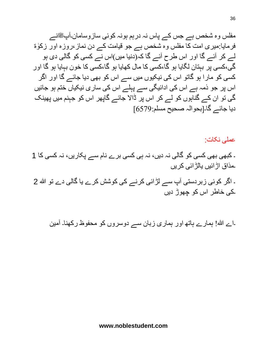مفلس وہ شخص ہے جس کے پاس نہ درہم ہونہ کوئی سازوسامان۔آپﷺنے فرمایا:میری امت کا مفلس وہ شخص ہے جو قیامت کے دن نماز ،روزہ اور زکوٰۃ لے کر آئے گا اور اس طرح آئے گا کہ)دنیا میں(اس نے کسی کو گالی دی ہو گی،کسی پر بہتان لگایا ہو گا،کسی کا مال کهایا ہو گا،کسی کا خون بہایا ہو گا اور کسی کو مارا ہو گاتو اس کی نیکیوں میں سے اس کو بهی دیا جائے گا اور اگر اس پر جو ذمہ ہے اس کی ادائیگی سے پہلے اس کی ساری نیکیاں ختم ہو جائیں گی تو ان کے گناہوں کو لے کر اس پر ڈاَل جائے گاپهر اس کو جہنم میں پهینک دیا جائے گا۔[بحوالہ صحیح مسلم:6579]

عملی نکات:

۔ کبهی بهی کسی کو گالی نہ دیں، نہ ہی کسی برے نام سے پکاریں، نہ کسی کا 1 ۔مذاق اڑائیں یالڑائی کریں

۔ اگر کوئی زبردستی آپ سے لڑائی کرنے کی کوشش کرے یا گالی دے تو الله 2 ۔کی خاطر اس کو چهوڑ دیں

۔اے هللا! ہمارے ہاته اور ہماری زبان سے دوسروں کو محفوظ رکهنا۔ آمین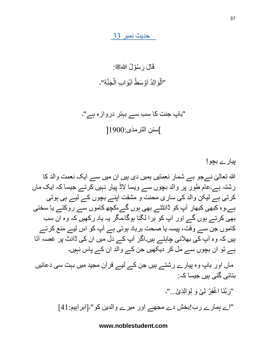حدیث نمبر 33

# قَالَ رَسُوۡلُ اللّٰهِﷺ: "اَلَّوَالِدُ اَوۡسَطُ اَبۡوَابِ الۡجَنَّةِ"۔

"باپ جنت کا سب سے بہتر دروازہ ہے"۔ ]سنن الترمذی1900:[

پیارے بچو! اللہ تعالٰیٰ نےجو بے شمار نعمتیں ہمیں دی ہیں ان میں سے ایک نعمت والد کا ا<br>ا رشتہ ہے۔عام طور پر والد بچوں سے ویسا َلڈ پیار نہیں کرتے جیسا کہ ایک ماں کرتی ہے لیکن والد کی ساری محنت و مشقت اپنے بچوں کے لیے ہی ہوتی ہے۔وہ کبهی کبهار آپ کو ڈانٹتے بهی ہوں گے،کچه کاموں سے روکتے یا سختی بهی کرتے ہوں گے اور آپ کو برا لگتا ہوگا۔مگر یہ یاد رکهیں کہ وہ ان سب کاموں جن سے وقت، پیسہ یا صحت برباد ہوتی ہے آپ کو اس لیے منع کرتے ہیں کہ وہ آپ کی بهالئی چاہتے ہیں۔اگر آپ کے دل میں ان کی ڈانٹ پر غصہ آتا ہے تو ان بچوں سے مل کر دیکهیں جن کے والد ان کے پاس نہیں۔

ماں اور باپ وہ پیارے رشتے ہیں جن کے لیے قرآن مجید میں بہت سی دعائیں بتائی گئی ہیں جیسا کہ:

"رَبَّنَا اغْفِرۡ لِیۡ وَ لِوَالِدَیَّ..."۔

"اے ہمارے رب!بخش دے مجهے اور میرے والدین کو"۔]ابراہیم41:[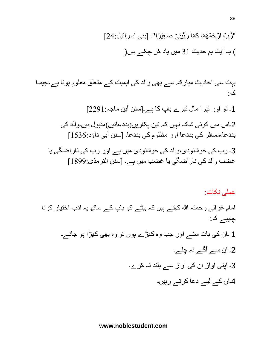ینِ ۡی َصِغۡی را"۔ ]بنی اسرائیل24:[ َربَّٰ "َّر ِِّب اۡر َحۡمُهَما َکَما ) یہ آیت ہم حدیث 31 میں یاد کر چکے ہیں(

بہت سی احادیث مبارکہ سے بهی والد کی اہمیت کے متعلق معلوم ہوتا ہے،جیسا کہ:

1۔ تو اور تیرا مال تیرے باپ کا ہے۔]سنن أبن ماجہ2291:[ 2۔اس میں کوئی شک نہیں کہ تین پکاریں(بددعائیں)مقبول ہیں۔والد کی بددعا،مسافر کی بددعا اور مظلوم کی بددعا۔ ]سنن أبی داؤد1536:[ 3۔ رب کی خوشنودی،والد کی خوشنودی میں ہے اور رب کی ناراضگی یا غضب والد کی ناراضگی یا غضب میں ہے۔ ]سنن الترمذی1899:[

عملی نکات: امام غزالی رحمتہ الله کہتے ہیں کہ بیٹے کو باپ کے ساتھ یہ ادب اختیار کرنا چاہیے کہ: 1 ۔ان کی بات سنے اور جب وہ کهڑے ہوں تو وہ بهی کهڑا ہو جائے۔ 2۔ ان سے آگے نہ چلے۔ 3۔ اپنی آواز ان کی آواز سے بلند نہ کرے۔ 4۔ان کے لیے دعا کرتے رہیں۔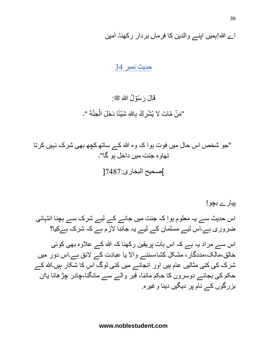اے هللا!ہمیں اپنے والدین کا فرماں بردار رکهنا۔ آمین

#### حدیث نمبر 34

# قَالَ رَسُوۡلُ اللّٰهِ ﷺ: "مَنْ مَّاتَ لَا يُشْرِكُ بِاللهِ شَيْئًا دَخَلَ الْجَنَّةَ "۔

 "جو شخص اس حال میں فوت ہوا کہ وہ هللا کے ساته کچه بهی شرک نہیں کرتا تهاوہ جنت میں داخل ہو گا"۔ ]صحیح البخاری7487:[

پیارے بچو! اس حدیث سے یہ معلوم ہوا کہ جنت میں جانے کے لیے شرک سے بچنا انتہائی ضروری ہے۔اس لیے مسلمان کے لیے یہ جاننا َلزم ہے کہ شرک ہےکیا؟

اس سے مراد یہ ہے کہ اس بات پریقین رکھنا کہ الله کے علاوہ بھی کوئی خالق،مالک،مددگار، مشکل کشا،سننے واَل یا عبادت کے َلئق ہے۔اس دور میں شرک کی کئی مثالیں عام ہیں اور انجانے میں کئی لوگ اس کا شکار ہیں۔الله کے حکم کی بجائے دوسروں کا حکم ماننا، قبر والے سے مانگنا،چادر چڑهانا یاان بزرگوں کے نام پر دیگیں دینا وغیرہ.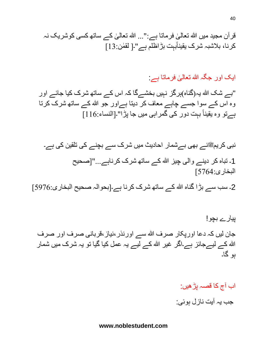ایک اور جگہ الله تعالیٰ فرماتا ہے : ֧<u>֚</u>

"بے شک هللا یہ)گناہ(ہرگز نہیں بخشےگا کہ اس کے ساته شرک کیا جائے اور وہ اس کے سوا جسے چاہے معاف کر دیتا ہےاور جو هللا کے ساته شرک کرتا ہےتو وہ یقینا بہت دور کی گمراہی میں جا پڑا"۔]النساء116:[

نبی کریمﷺنے بھی بےشمار احادیث میں شرک سے بچنے کی تلقین کی ہے۔ 1۔ تباہ کر دینے والی چیز هللا کے ساته شرک کرناہے..."]صحیح البخاری5764:[

2۔ سب سے بڑا گناہ الله کے ساتھ شرک کرنا ہے۔[بحوالہ صحیح البخاری:5976]

پیارے بچو! جان لیں کہ دعا اورپکار صرف الله سے اورنذر ،نیاز ،قربانی صرف اور صرف الله کے لیےجائز ہے۔اگر غیر الله کے لیے یہ عمل کیا گیا تو یہ شرک میں شمار ہو گا۔

# اب آج کا قصہ پڑهیں: جب یہ آیت نازل ہوئی: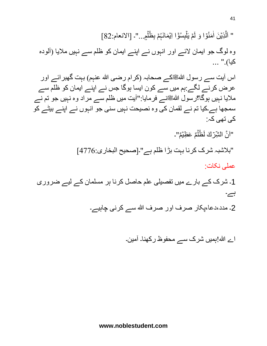" اَلَّذِيۡنَ اٰمَنُوۡٓا وَ لَمۡ يَلۡبِسُوۡٓا اِيۡمَانَـہُمۡ بِظُلَمِ..."۔ [الانعام:82] ו<br>ו وہ لوگ جو ایمان َلئے اور انہوں نے اپنے ایمان کو ظلم سے نہیں مالیا )آلودہ کیا)." ...

اس آیت سے رسول اللهﷺکے صحابہ (کرام رضی الله عنہم) بہت گهبرائے اور عرض کرنے لگے:ہم میں سے کون ایسا ہوگا جس نے اپنے ایمان کو ظلم سے ملایا نہیں ہوگا؟رسول اللهﷺنے فرمایا:"آیت میں ظلم سے مراد وہ نہیں جو تم نے سمجها ہے۔کیا تم نے لقمان کی وہ نصیحت نہیں سنی جو انہوں نے اپنے بیٹے کو کی تهی کہ:

"اَنَّ الشِّرِّكَ لَظُلِّمٌ عَظِيِّمٌ"۔

 "بالشبہ شرک کرنا بہت بڑا ظلم ہے"۔]صحیح البخاری4776:[ عملی نکات:

1۔ شرک کے بارے میں تفصیلی علم حاصل کرنا ہر مسلمان کے لیے ضروری ہے۔

2۔ مدد،دعا،پکار صرف اور صرف الله سے کرنی چاہیے۔

اے هللا!ہمیں شرک سے محفوظ رکهنا۔ آمین۔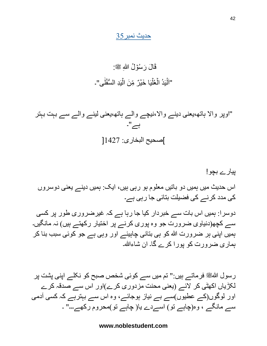#### حدیث نمبر35

#### قَالَ رَسُوۡلُ اللّٰهِ ﷺ: "اَلْيَدُ الْعُلّْيَا خَيْرٌ مِّنَ الْيَدِ السُّفَلٰى"۔ ٰ ْ

"اوپر واَل ہاته،یعنی دینے واَل،نیچے والے ہاته،یعنی لینے والے سے بہت بہتر ہے"۔ ]صحیح البخاری: 1427[

# پیارے بچو! اس حدیث میں ہمیں دو باتیں معلوم ہو رہی ہیں، ایک: ہمیں دینے یعنی دوسروں کی مدد کرنے کی فضیلت بتائی جا رہی ہے۔

دوسرا: ہمیں اس بات سے خبردار کیا جا رہا ہے کہ غیرضروری طور پر کسی سے کچھ(دنیاوی ضرورت جو وہ پوری کرنے پر اختیار رکھتے ہیں) نہ مانگیں۔ ہمیں اپنی ہر ضرورت هللا کو ہی بتانی چاہیئے اور وہی ہے جو کوئی سبب بنا کر ہماری ضرورت کو پورا کرے گا۔ ان شاءهللا۔

رسول اللهﷺ فرماتے ہیں:" تم میں سے کوئی شخص صبح کو نکلے اپنی پشت پر لکڑیاں اکھٹی کر لائے (یعنی محنت مزدوری کرے)اور اس سے صدقہ کرے اور لوگوں)کے عطیوں(سے بے نیاز ہوجائے، وہ اس سے بہترہے کہ کسی آدمی سے مانگے ، وہ(چاہے تو) اسےدے یا( چاہے تو)محروم رکھے۔۔۔" ۔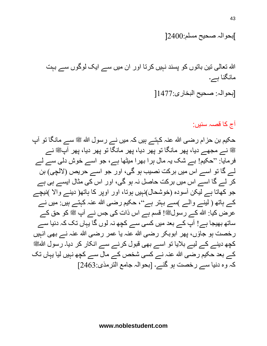]بحوالہ صحیح مسلم2400:[

الله تعالٰی تین باتوں کو پسند نہیں کرتا اور ان میں سے ایک لوگوں سے بہت مانگنا ہے۔ [بحوالہ: صحیح البخاری1477:[

آج کا قصہ سنیں:

حکیم بن حزام رضی الله عنہ کہتے ہیں کہ میں نے رسول الله ﷺ سے مانگا تو آپ ﷺ نے مجهے دیا، پهر مانگا تو پهر دیا، پهر مانگا تو پهر دیا، پهر آپﷺ نے فرمایا: "حکیم! بے شک یہ مال ہرا بهرا میٹها ہے، جو اسے خوش دلی سے لے لے گا تو اسے اس میں برکت نصیب ہو گی، اور جو اسے حریص (لالچی) بن کر لے گا اسے اس میں برکت حاصل نہ ہو گی، اور اس کی مثال ایسے ہی ہے جو کھاتا ہے لیکن آسودہ (خوشحال)نہیں ہوتا، اور اوپر کا ہاتھ( دینے والا )نیچے کے ہاتھ ( لینے والے )سے بہتر ہے"، حکیم رضی الله عنہ کہتے ہیں: میں نے عرض کیا: الله کے رسولﷺ! قسم ہے اس ذات کی جس نے آپ ﷺ کو حق کے ساتھ بھیجا ہے! آپ کے بعد میں کسی سے کچھ نہ لوں گا یہاں تک کہ دنیا سے رخصت ہو جاؤں، پھر ابوبکر رضی الله عنہ یا عمر رضی الله عنہ نے بھی انہیں کچھ دینے کے لیے بلایا تو اسے بھی قبول کرنے سے انکار کر دیا۔ رسول اللهﷺ کے بعد حکیم رضی هللا عنہ نے کسی شخص کے مال سے کچه نہیں لیا یہاں تک کہ وہ دنیا سے رخصت ہو گئے۔ ]بحوالہ جامع الترمذی2463:[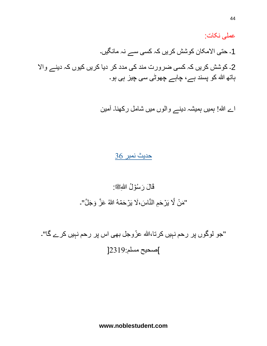عملی نکات: 1۔ حتی اَلمکان کوشش کریں کہ کسی سے نہ مانگیں۔ 2۔ کوشش کریں کہ کسی ضرورت مند کی مدد کر دیا کریں کیوں کہ دینے واَل ہاته هللا کو پسند ہے، چاہے چهوٹی سی چیز ہی ہو۔

اے هللا! ہمیں ہمیشہ دینے والوں میں شامل رکهنا۔ آمین

### حدیث نمبر 36

قَالَ رَسُوۡلُ اللّٰهِﷺ:

"مَنْ لَّا يَرۡحَمِ النَّاسَ،لَا يَرۡحَمۡهُ اللّٰهُ عَزَّ وَجَلَّ"۔

"جو لوگوں پر رحم نہیں کرتا،الله عزّوجل بھی اس پر رحم نہیں کرے گا"۔ ]صحیح مسلم2319:[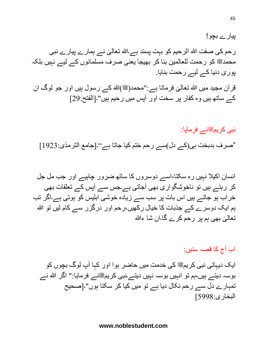ر حم کی صفت الله الرحیم کو بہت پسند ہے۔الله تعالٰیٰ نے ہمار ے پیار ے نبی ֡**֡** محمدﷺ کو رحمت للعالمین بنا کر بھیجا یعنی صرف مسلمانوں کے لیے نہیں بلکہ پوری دنیا کے لیے رحمت بنایا. قرآن مجید میں الله تعالیٰ فرماتا ہے:"محمد(ﷺ)الله کے رسول ہیں اور جو لوگ ان ֧<u>֓</u>

کے ساته ہیں وہ کفار پر سخت اور آپس میں رحیم ہیں"۔]الفتح29:[

نبی کریمﷺنے فرمایا:

"صرف بدبخت ہی)کے دل(سے رحم ختم کیا جاتا ہے"۔]جامع الترمذی1923:[

انسان اکیال نہیں رہ سکتا،اسے دوسروں کا ساته ضرور چاہیے اور جب مل جل کر رہتے ہیں تو ناخوشگواری بهی آجاتی ہے۔جس سے آپس کے تعلقات بهی خراب ہو جاتے ہیں اس بات پر سب سے زیادہ خوشی ابلیس کو ہوتی ہے۔اگر تب ہم ایک دوسرے کے جذبات کا خیال رکھیں،رحم اور درگزر سے کام لیں تو الله تعالٰیٰ بھی ہم پر رحم کرے گا۔ان شا ءالله ا<br>ا

اب آج کا قصہ سنیں:

ایک دیہاتی نبی کریمﷺ کی خدمت میں حاضر ہوا اور کہا آپ لوگ بچوں کو بوسہ دیتے ہیں،ہم تو انہیں بوسہ نہیں دیتے۔نبی کریمﷺنے فرمایا:" اگر الله نے تمہارے دل سے رحم نکال دیا ہے تو میں کیا کر سکتا ہوں"۔]صحیح البخاری5998:[

پیارے بچو!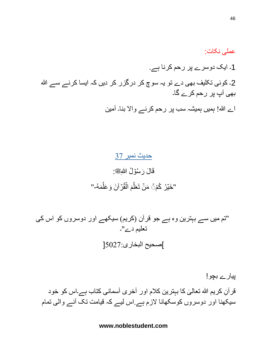عملی نکات: 1۔ ایک دوسرے پر رحم کرنا ہے. 2۔ کوئی تکلیف بھی دے تو یہ سوچ کر درگزر کر دیں کہ ایسا کرنے سے ﷲ بهی آپ پر رحم کرے گا۔ اے هللا! ہمیں ہمیشہ سب پر رحم کرنے واَل بنا۔ آمین

> حدیث نمبر 37 قَالَ رَسُوۡلُ اللّٰهِﷺ: "خَيۡرُ كُمْۚ۞ مَنۡ تَعَلَّمَ الۡقُرۡاَنَ وَعَلَّمَهُ-" َّ م<br>م َّ

"تم میں سے بہترین وہ ہے جو قرآن (کریم) سیکھے اور دوسروں کو اس کی تعلیم دے"۔ ]صحیح البخاری5027:[

پیارے بچو! قرآنِ کریم الله تعالٰیٰ کا بہترین کلام اور آخری آسمانی کتاب ہے۔اس کو خود ا<br>ا سیکهنا اور دوسروں کوسکهانا َلزم ہے.اس لیے کہ قیامت تک آنے والی تمام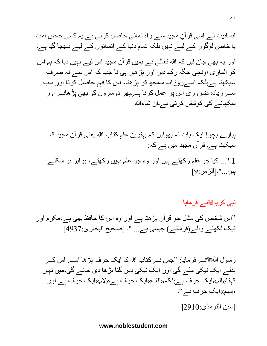انسانیت نے اسی قرآنِ مجید سے راہ نمائی حاصل کرنی ہے۔یہ کسی خاص امت یا خاص لوگوں کے لیے نہیں بلکہ تمام دنیا کے انسانوں کے لیے بهیجا گیا ہے۔ اور یہ بھی جان لیں کہ الله تعالیٰ نے ہمیں قر آن مجید اس لیے نہیں دیا کہ ہم اس ֝**֝** کو الماری اونچی جگہ رکه دیں اور پڑهیں ہی نا جب کہ اس سے نہ صرف سیکهنا ہےبلکہ اسےروزانہ سمجه کر پڑهنا، اس کا فہم حاصل کرنا اور سب سے زیادہ ضروری اس پر عمل کرنا ہے۔پهر دوسروں کو بهی پڑهانے اور سکهانے کی کوشش کرنی ہے۔ان شاءهللا

پیارے بچو! ایک بات نہ بهولیں کہ بہترین علم کتاب هللا یعنی قرآن مجید کا سیکهنا ہے۔ قرآن مجید میں ہے کہ:

1۔"... کیا جو علم رکهتے ہیں اور وہ جو علم نہیں رکهتے، برابر ہو سکتے بیں..."۔[الزّمر:9]

نبی کریمﷺنے فرمایا:

''اس شخص کی مثال جو قرآن پڑهتا ہے اور وہ اس کا حافظ بهی ہے،مکرم اور نیک لکھنے والے(فرشتے) جیسی ہے... "۔ [صحیح البخاری:4937]

رسول اللهﷺنے فرمایا: "جس نے کتاب الله کا ایک حرف پڑ ها اسے اس کے بدلے ایک نیکی ملے گی اور ایک نیکی دس گنا بڑها دی جائے گی،میں نہیں کہتا $\langle\langle\cdot|\rangle$ ایک حرف ہے بلکہ $\langle\langle\cdot|\rangle$ ایک حرف ہے اور  $\langle\cdot|\rangle$ م»ایک حرف ہے اور «میم»ایک حرف ہے"۔ ]سنن الترمذی2910:[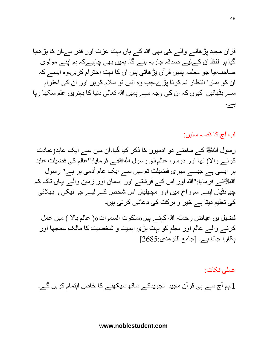قرآن مجید پڑهانے والے کی بهی هللا کے ہاں بہت عزت اور قدر ہے۔ان کا پڑهایا گیا ہر لفظ ان کےلیے صدقہ جاریہ بنے گا۔ ہمیں بهی چاہیےکہ ہم اپنے مولوی صاحب،یا جو معلمہ ہمیں قرآن پڑهاتی ہیں ان کا بہت احترام کریں۔وہ ایسے کہ ان کو ہمارا انتظار نہ کرنا پڑے۔جب وہ آئیں تو سالم کریں اور ان کی احترام ی دنیا کا بہترین علم سکها رہا ٰ سے بٹهائیں کیوں کہ ان کی وجہ سے ہمیں هللا تعال ہے۔

اب آج کا قصہ سنیں:

رسول اللهﷺ کے سامنے دو آدمیوں کا ذکر کیا گیا،ان میں سے ایک عابد(عبادت کرنے والا) تها اور دوسرا عالم،تو رسول اللهﷺنے فرمایا:"عالم کی فضیلت عابد پر ایسی ہے جیسے میری فضیلت تم میں سے ایک عام آدمی پر ہے" رسول اللهﷺنے فرمایا:"الله اور اس کے فرشتے اور آسمان اور زمین والے یہاں تک کہ چیونٹیاں اپنے سوراخ میں اور مچهلیاں اس شخص کے لیے جو نیکی و بهالئی کی تعلیم دیتا ہے خیر و برکت کی دعائیں کرتی ہیں۔

فضیل بن عیاض رحمتہ الله کہتے ہیں،(ملكوت السموات»( عالم بالا ) میں عمل کرنے والے عالم اور معلم کو بہت بڑی اہمیت و شخصیت کا مالک سمجها اور پکارا جاتا ہے۔ ]جامع الترمذی2685:[

عملی نکات: 1۔ہم آج سے ہی قرآن مجید تجویدکے ساته سیکهنے کا خاص اہتمام کریں گے۔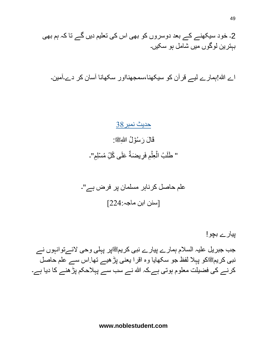49

2۔ خود سیکهنے کے بعد دوسروں کو بهی اس کی تعلیم دیں گے تا کہ ہم بهی بہترین لوگوں میں شامل ہو سکیں۔

اے هللا!ہمارے لیے قرآن کو سیکهنا،سمجهنااور سکهانا آسان کر دے۔آمین۔

حدیث نمبر38 قَالَ رَسُوۡلُ اللّٰهِﷺ: " طَلَبُ الۡعِلۡمِ فَرِيضَةٌ عَلَى كُلِّ مُسۡلِمٍ"۔

علم حاصل کرناہر مسلمان پر فرض ہے"۔ ]سنن ابن ماجہ224:[

جب جبریل علیہ السلام ہمارے پیارے نبی کریمﷺپر پہلی وحی لائےتوانہوں نے نبی کریمﷺکو پہلا لفظ جو سکھایا وہ اقرا یعنی پڑھیے تھا.اس سے علم حاصل کرنے کی فضیلت معلوم ہوتی ہے۔کہ هللا نے سب سے پہالحکم پڑهنے کا دیا ہے۔

پیارے بچو!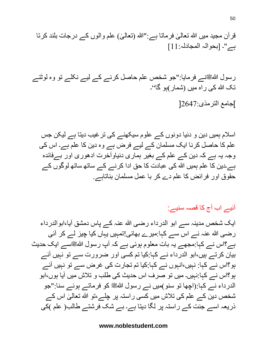رسول اللہﷺنے فرمایا:"جو شخص علم حاصل کرنے کے لیے نکلے تو وہ لوٹنے تک الله کی راہ میں (شمار)ہو گا''۔ ]جامع الترمذی2647:[

اسالم ہمیں دین و دنیا دونوں کے علوم سیکهنے کی ترغیب دیتا ہے لیکن جس علم کا حاصل کرنا ایک مسلمان کے لیے فرض ہے وہ دین کا علم ہے۔ اس کی وجہ یہ ہے کہ دین کے علم کے بغیر ہماری دنیاوآخرت ادهوری اور بےفائدہ ہے۔دین کا علم ہمیں هللا کی عبادت کا حق ادا کرنے کے ساته ساته لوگوں کے حقوق اور فرائض کا علم دے کر با عمل مسلمان بناتاہے.

آئیے اب آج کا قصہ سنیے:

ایک شخص مدینہ سے ابو الدرداء رضی هللا عنہ کے پاس دمشق آیا،ابوالدرداء رضی هللا عنہ نے اس سے کہا:میرے بهائی!تمہیں یہاں کیا چیز لے کر آئی ہے؟اس نے کہا:مجهے یہ بات معلوم ہوئی ہے کہ آپ رسول هللاصلى الله عليه وسلمسے ایک حدیث بیان کرتے ہیں،ابو الدرداء نے کہا:کیا تم کسی اور ضرورت سے تو نہیں آئے ہو؟اس نے کہا: نہیں،انہوں نے کہا:کیا تم تجارت کی غرض سے تو نہیں آئے ہو؟اس نے کہا:نہیں۔ میں تو صرف اس حدیث کی طلب و تالش میں آیا ہوں،ابو الدرداء نے کہا:(اچھا تو سنو)میں نے رسول اللهﷺ کو فرماتے ہوئے سنا:"جو شخص دین کے علم کی تلاش میں کسی راستہ پر چلے،تو الله تعالیٰ اس کے ֡**֡** ذریعہ اسے جنت کے راستہ پر لگا دیتا ہے۔ بے شک فرشتے طالب) علم (کی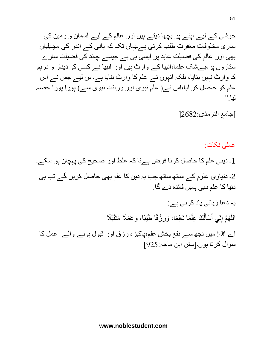خوشی کے لیے اپنے پر بچها دیتے ہیں اور عالم کے لیے آسمان و زمین کی ساری مخلوقات مغفرت طلب کرتی ہے۔یہاں تک کہ پانی کے اندر کی مچهلیاں بهی اور عالم کی فضیلت عابد پر ایسی ہی ہے جیسے چاند کی فضیلت سارے ستاروں پر،بےشک علما،انبیا کے وارث ہیں اور انبیا نے کسی کو دینار و درہم کا وارث نہیں بنایا، بلکہ انہوں نے علم کا وارث بنایا ہے۔اس لیے جس نے اس علم کو حاصل کر لیا،اس نے( علم نبوی اور وراثت نبوی سے) پورا پورا حصہ لیا."

]جامع الترمذی2682:[

عملی نکات: 1۔ دینی علم کا حاصل کرنا فرض ہےتا کہ غلط اور صحیح کی پہچان ہو سکے۔ 2۔ دنیاوی علوم کے ساته ساته جب ہم دین کا علم بهی حاصل کریں گے تب ہی دنیا کا علم بهی ہمیں فائدہ دے گا. یہ دعا زبانی یاد کرنی ہے: اللَّهُمَّ إِنِّي أَسْأَلُكَ عِلْمًا نَافِعًا، وَرِزْقًا طَيِّبًا، وَعَمَلًا مُتَقَبَّلًا ْ ُ أَ َ

اے هللا! میں تجه سے نفع بخش علم،پاکیزہ رزق اور قبول ہونے والے عمل کا سوال کرتا ہوں۔]سنن ابن ماجہ925:[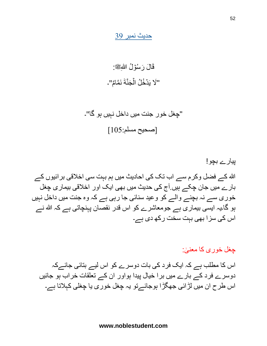حدیث نمبر 39

قَالَ رَسُوۡلُ اللّٰهِﷺ: "لَا یَدۡخُلُ الۡجَنَّةَ نَمَّامٌ"۔

"چغل خور جنت میں داخل نہیں ہو گا"۔ ]صحیح مسلم105:[

پیارے بچو! هللا کے فضل وکرم سے اب تک کی احادیث میں ہم بہت سی اخالقی برائیوں کے بارے میں جان چکے ہیں.آج کی حدیث میں بهی ایک اور اخالقی بیماری چغل خوری سے نہ بچنے والے کو وعید سنائی جا رہی ہے کہ وہ جنت میں داخل نہیں ہو گا۔یہ ایسی بیماری ہے جومعاشرے کو اس قدر نقصان پہنچاتی ہے کہ هللا نے اس کی سزا بهی بہت سخت رکه دی ہے۔

#### چغل خوری کا معنیٰ: ا<br>ا

اس کا مطلب ہے کہ ایک فرد کی بات دوسرے کو اس لیے بتائی جائےکہ دوسرے فرد کے بارے میں برا خیال پیدا ہواور ان کے تعلقات خراب ہو جائیں اس طرح ان میں لڑائی جهگڑا ہوجائےتو یہ چغل خوری یا چغلی کہالتا ہے۔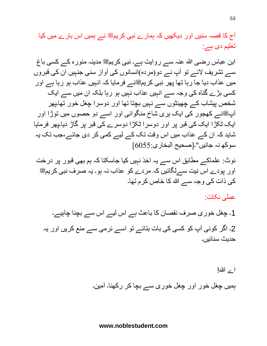ابن عباس رضی الله عنہ سے روایت ہے۔ نبی کریمﷺ مدینہ منورہ کے کسی باغ سے تشریف لائے تو آپ نے دو(مردہ)انسانوں کی آواز سنی جنہیں ان کی قبروں میں عذاب دیا جا رہا تھا پھر نبی کریمﷺنے فرمایا کہ انہیں عذاب ہو رہا ہے اور کسی بڑے گناہ کی وجہ سے انہیں عذاب نہیں ہو رہا بلکہ ان میں سے ایک شخص پیشاب کے چهینٹوں سے نہیں بچتا تها اور دوسرا چغل خور تها۔پهر آپکٹنے کھجور کی ایک ہری شاخ منگوائی اور اسے دو حصوں میں توڑا اور ایک ٹکڑا ایک کی قبر پر اور دوسرا ٹکڑا دوسرے کی قبر پر گاڑ دیا۔پهر فرمایا شاید کہ ان کے عذاب میں اس وقت تک کے لیے کمی کر دی جائے،جب تک یہ سوکه نہ جائیں"۔]صحیح البخاری6055:[

نوٹ: علماکے مطابق اس سے یہ اخذ نہیں کیا جاسکتا کہ ہم بهی قبور پر درخت اور پودے اس نیت سےلگائیں کہ مردے کو عذاب نہ ہو۔ یہ صرف نبی کریمﷺ کی ذات کی وجہ سے الله کا خاص کرم تھا۔

عملی نکات:

1۔ چغل خوری صرف نقصان کا باعث ہے اس لیے اس سے بچنا چاہیے۔ 2۔ اگر کوئی آپ کو کسی کی بات بتائے تو اسے نرمی سے منع کریں اور یہ حدیث سنائیں۔

اے الله!

ہمیں چغل خور اور چغل خوری سے بچا کر رکهنا۔ آمین۔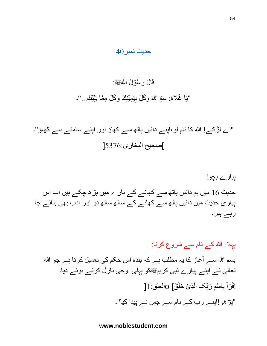#### حدیث نمبر40

# قَالَ رَسُوۡلُ اللّٰهِﷺ:

"يَا غُلَامُ: سَمِّ اللّهَ وَكُلِّ بِيَمِيْنِكَ وَكُلِّ مِمَّا يَلِيِّكَ..."۔

"اے لڑکے! هللا کا نام لو،اپنے دائیں ہاته سے کهاؤ اور اپنے سامنے سے کهاؤ"۔ ]صحیح البخاری5376:[

پیارے بچو! حدیث 16 میں ہم دائیں ہاته سے کهانے کے بارے میں پڑه چکے ہیں اب اس پیاری حدیث میں دائیں ہاته سے کهانے کے ساته ساته دو اور ادب بهی بتائے جا رہے ہیں۔

پہال: هللا کے نام سے شروع کرنا: بسم اللہ سے آغاز کا یہ مطلب ہے کہ بندہ اس حکم کی تعمیل کرتا ہے جو الله تعالٰیٰ نے اپنے پیارے نبی کریمﷺکو پہلی وحی نازل کرتے ہوئے دیا۔ ֧<u>֓</u> لِقْرَ أَ بِاسْمِ رَبِّكَ الَّذِيْ خَلَقَ] 0العلق: 1[ َّ ِّ ِ ْ "پڑهو!اپنے رب کے نام سے جس نے پیدا کیا"۔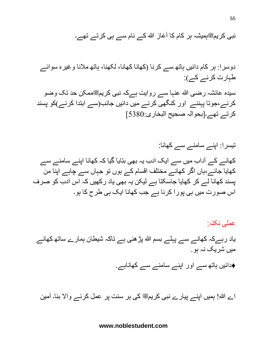نبی کریمﷺہمیشہ ہر کام کا آغاز الله کے نام سے ہی کرتے تهے۔

دوسرا: ہر کام دائیں ہاته سے کرنا )کهانا کهانا، لکهنا، ہاته مالنا وغیرہ سوائے طہارت کرنے کے(:

سیدہ عائشہ رضی الله عنہا سے روایت ہےکہ نبی کریمﷺممکن حد تک وضو کرنے،جوتا پہننے اور کنگهی کرنے میں دائیں جانب)سے ابتدا کرنے(کو پسند کرتے تهے۔]بحوالہ صحیح البخاری5380:[

تیسرا: اپنے سامنے سے کهانا: کهانے کے آداب میں سے ایک ادب یہ بهی بتایا گیا کہ کهانا اپنے سامنے سے کهایا جائے،ہاں اگر کهانے مختلف اقسام کے ہوں تو جہاں سے چاہے اپنا من پسند کهانا لے کر کهایا جاسکتا ہے لیکن یہ بهی یاد رکهیں کہ اس ادب کو صرف اس صورت میں ہی پورا کرنا ہے جب کهانا ایک ہی طرح کا ہو۔

عملی نکتہ: یاد رہےکہ کھانے سے پہلے بسم الله پڑ ھنی ہے تاکہ شیطان ہمارے ساتھ کھانے میں شریک نہ ہو.

️♦دائیں ہاته سے اور اپنے سامنے سے کهاناہے.

اے الله! ہمیں اپنے پیارے نبی کریمﷺ کی ہر سنت پر عمل کرنے والا بنا۔ آمین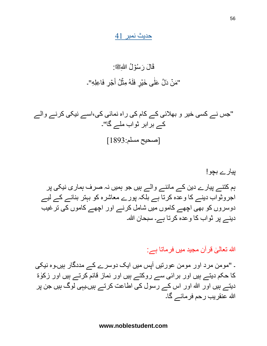حدیث نمبر 41

#### قَالَ رَسُوۡلُ اللّٰهِﷺ: "مَنۡ دَلَّ عَلٰٓى خَیۡرٍ فَلَهُ مِثۡلُ أَجۡرٍ فَاعِلِهِ"۔ َ י<br>ו

"جس نے کسی خیر و بهالئی کے کام کی راہ نمائی کی،اسے نیکی کرنے والے کے برابر ثواب ملے گا"۔ ]صحیح مسلم1893:[

# پیارے بچو!

ہم کتنے پیارے دین کے ماننے والے ہیں جو ہمیں نہ صرف ہماری نیکی پر اجروثواب دینے کا وعدہ کرتا ہے بلکہ پورے معاشرہ کو بہتر بنانے کے لیے دوسروں کو بهی اچهے کاموں میں شامل کرنے اور اچهے کاموں کی ترغیب دینے پر ثواب کا وعدہ کرتا ہے۔ سبحان الله۔

#### الله تعالٰیٰ قرآن مجید میں فرماتا ہے: ا<br>ا

۔ "مومن مرد اور مومن عورتیں آپس میں ایک دوسرے کے مددگار ہیں۔وہ نیکی کا حکم دیتے ہیں اور برائ*ی* سے روکتے ہیں اور نماز قائم کرتے ہیں اور زکوٰۃ دیتے ہیں اور هللا اور اس کے رسول کی اطاعت کرتے ہیں۔یہی لوگ ہیں جن پر هللا عنقریب رحم فرمائے گا۔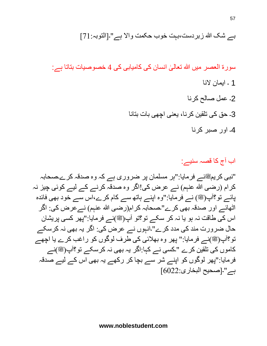سورۃ العصر میں الله تعالٰیٰ انسان کی کامیابی کی 4 خصوصیات بتاتا ہے: ا<br>ا ۔ ایمان َلنا ۔ عمل صالح کرنا ۔ حق کی تلقین کرنا، یعنی اچهی بات بتانا ۔ اور صبر کرنا

اب آج کا قصہ سنیے:

"نبی کریمﷺنے فرمایا:"ہر مسلمان پر ضروری ہے کہ وہ صدقہ کرے۔صحابہ کرام (رضی الله عنہم) نے عرض کی!اگر وہ صدقہ کرنے کے لیے کوئی چیز نہ پائے تو؟آپ(ﷺ) نے فرمایا:"وہ اپنے ہاتھ سے کام کرے،اس سے خود بھی فائدہ اٹھائے اور صدقہ بھی کرے"۔صحابہ کرام(رضی الله عنہم) نے عرض کی: اگر اس کی طاقت نہ ہو یا نہ کر سکے تو؟تو آپ(ﷺ)نے فرمایا:"پھر کسی پریشان حال ضرورت مند کی مدد کرے"۔انہوں نے عرض کی: اگر یہ بهی نہ کرسکے تو؟آپ(ﷺ)نـــر فرمایا:" پهر وہ بهلائی کی طرف لوگوں کو راغب کرے یا اچهے کاموں کی تلقین کرے "کسی نے کہا:اگر یہ بھی نہ کرسکے تو؟آپ(ﷺ)نے فرمایا:"پهر لوگوں کو اپنے شر سے بچا کر رکهے یہ بهی اس کے لیے صدقہ ہے"۔]صحیح البخاری6022:[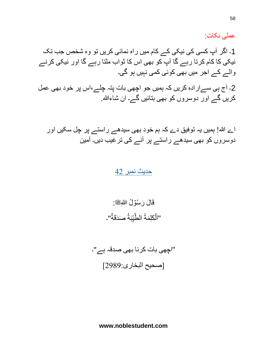عملی نکات:

1۔ اگر آپ کسی کی نیکی کے کام میں راہ نمائی کریں تو وہ شخص جب تک نیکی کا کام کرتا رہے گا آپ کو بهی اس کا ثواب ملتا رہے گا اور نیکی کرنے والے کے اجر میں بهی کوئی کمی نہیں ہو گی۔

2۔ آج ہی سےارادہ کریں کہ ہمیں جو اچهی بات پتہ چلے،اس پر خود بهی عمل کریں گے اور دوسروں کو بهی بتائیں گے۔ ان شاءهللا.

اے هللا! ہمیں یہ توفیق دے کہ ہم خود بهی سیدهے راستے پر چل سکیں اور دوسروں کو بهی سیدهے راستے پر آنے کی ترغیب دیں۔ آمین

#### حدیث نمبر 42

قَالَ رَسُوۡلُ اللّٰهِﷺ: "اَلۡكَلِمَةُ الطَّيِّبَةُ صَدَقَةٌ".

"اچهی بات کرنا بهی صدقہ ہے"۔ ]صحیح البخاری2989:[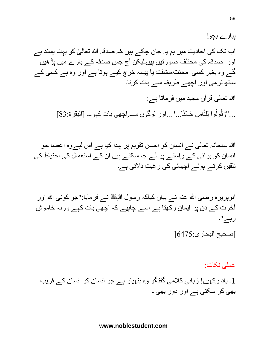پیارے بچو! اب تک کی احادیث میں ہم یہ جان چکے ہیں کہ صدقہ الله تعالٰیٰ کو بہت پسند ہے ا<br>ا اور صدقہ کی مختلف صورتیں ہیں۔لیکن آج جس صدقہ کے بارے میں پڑهیں گے وہ بغیر کسی محنت،مشقت یا پیسہ خرچ کیے ہوتا ہے اور وہ ہے کسی کے ساته نرمی اور اچهے طریقہ سے بات کرنا۔ الله تعالٰیٰ قرآن مجید میں فرماتا ہے: ا<br>ا ..."وَقُولُوا لِلنَّاسِ حُسْنًا..."...اور لوگوں سےاچھی بات کہو۔۔۔ [البقرۃ:83]

اللہ سبحانہ تعالٰیٰ نے انسان کو احسن تقویم پر پیدا کیا ہے اس لیےوہ اعضا جو ֡**֡** انسان کو برائی کے راستے پر لے جا سکتے ہیں ان کے استعمال کی احتیاط کی تلقین کرتے ہوئے اچهائی کی رغبت دَلئی ہے۔

ابوہریرہ رضی الله عنہ نے بیان کیاکہ رسول اللّٰهِ نے فرمایا:"جو کوئی الله اور آخرت کے دن پر ایمان رکهتا ہے اسے چاہیے کہ اچهی بات کہے ورنہ خاموش رہے"۔

]صحیح البخاری6475:[

عملی نکات:

1۔ یاد رکهیں! زبانی کالمی گفتگو وہ ہتهیار ہے جو انسان کو انسان کے قریب بهی کر سکتی ہے اور دور بهی ۔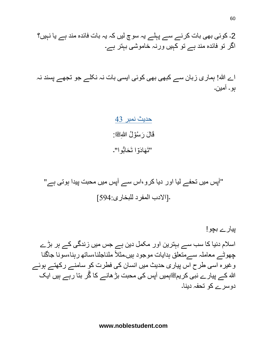اے هللا! ہماری زبان سے کبهی بهی کوئی ایسی بات نہ نکلے جو تجهے پسند نہ ہو۔ آمین۔

> حدیث نمبر 43 قَالَ رَسُوۡلُ اللّٰهِﷺ: "تَهَادَوۡا تَحَابُوا"۔ َّ أ∙

"آپس میں تحفے لیا اور دیا کرو،اس سے آپس میں محبت پیدا ہوتی ہے" ۔]اَلدب المفرد للبخاری594:[

پیارے بچو! اسالم دنیا کا سب سے بہترین اور مکمل دین ہے جس میں زندگی کے ہر بڑے چهوٹے معاملہ سےمتعلق ہدایات موجود ہیں۔مثال ملناجلنا،ساته رہنا،سونا جاگنا وغیرہ اسی طرح اس پیاری حدیث میں انسان کی فطرت کو سامنے رکهتے ہوئے الله کے پیار ے نبی کر یمﷺہمیں آپس کی محبت بڑ ھانے کا گُر بنا ر ہے ہیں ایک دوسرے کو تحفہ دینا۔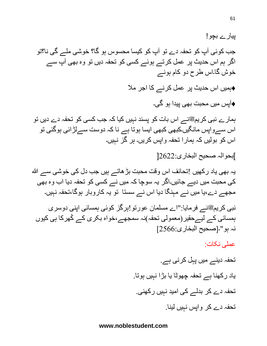پیارے بچو! جب کوئی آپ کو تحفہ دے تو آپ کو کیسا محسوس ہو گا؟ خوشی ملے گی نا؟تو اگر ہم اس حدیث پر عمل کرتے ہوئے کسی کو تحفہ دیں تو وہ بھی آپ سے خوش گا۔اس طرح دو کام ہوئے ️♦ہمیں اس حدیث پر عمل کرنے کا اجر مال ️♦آپس میں محبت بهی پیدا ہو گی۔ ہمارے نبی کریمﷺنے اس بات کو پسند نہیں کیا کہ جب کسی کو تحفہ دے دیں تو اس سےواپس مانگیں۔کبهی کبهی ایسا ہوتا ہے نا کہ دوست سےلڑائی ہوگئی تو اس کو بولیں کہ ہمارا تحفہ واپس کریں۔ ہر گز نہیں۔ ]بحوالہ صحیح البخاری2622:[ یہ بھی یاد رکھیں !تحائف اس وقت محبت بڑ ھاتے ہیں جب دل کی خوشی سے الله کی محبت میں دیے جائیں۔اگر یہ سوچا کہ میں نے کسی کو تحفہ دیا اب وہ بهی مجهے دے،یا میں نے مہنگا دیا اس نے سستا تو یہ کاروبار ہوگا،تحفہ نہیں۔ نبی کریمﷺنے فرمایا:"اے مسلمان عورتو !ہرگز کوئی ہمسائی اپنی دوسری ہمسائی کے لیےحقیر)معمولی تحفہ(نہ سمجهے،خواہ بکری کے ُکهرکا ہی کیوں نہ ہو"۔]صحیح البخاری2566:[ عملی نکات: تحفہ دینے میں پہل کرنی ہے. یاد رکهنا ہے تحفہ چهوٹا یا بڑا نہیں ہوتا. تحفہ دے کر بدلے کی امید نہیں رکهنی. تحفہ دے کر واپس نہیں لینا.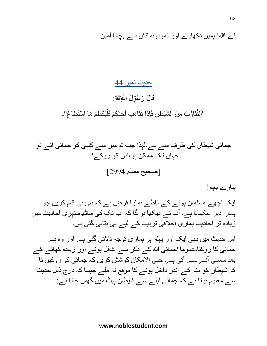اے هللا! ہمیں دکهاوے اور نمودونمائش سے بچانا۔آمین

حدیث نمبر 44

قَالَ رَسُوۡلُ اللّٰهِﷺ:

"اَلْتَّثَاوُّبُ مِنَ الشَّيِّطِٰنِ فَاِذَا تَثَاءَبَ اَحَدُكُمَ فَلْيَكْظِمَ مَّا اسْتَطَاعَ"۔

جمائی شیطان کی طرف سے ہے،لہٰذا جب تم میں سے کسی کو جمائی آئے تو جہاں تک ممکن ہو،اس کو روکے"۔ ]صحیح مسلم2994:[

پیارے بچو!

ایک اچهے مسلمان ہونے کے ناطے ہمارا فرض ہے کہ ہم وہی کام کریں جو ہمارا دین سکهاتا ہے۔ آپ نے دیکها ہو گا کہ اب تک کی ساٹه سنہری احادیث میں زیادہ تر احادیث ہماری اخالقی تربیت کے لیے ہی بتائی گئی ہیں۔

اس حدیث میں بهی ایک اور پہلو پر ہماری توجہ دَلئی گئی ہے اور وہ ہے جمائی کا روکنا۔عموما"جمائی الله کے ذکر سے غافل ہونے اور زیادہ کھانے کے بعد سستی آنے سے آتی ہے۔ حتی اَلمکان کوشش کریں کہ جمائی کو روکیں تا کہ شیطان کو منہ کے اندر داخل ہونے کا موقع نہ ملے جیسا کہ درج ذیل حدیث سے معلوم ہوتا ہے کہ جمائی لینے سے شیطان پیٹ میں گهس جاتا ہے: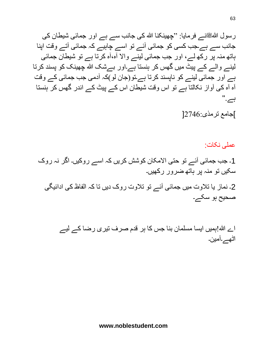رسول اللہﷺنے فرمایا: "چھینکنا الله کی جانب سے ہے اور جمائی شیطان کی جانب سے ہے۔جب کسی کو جمائی آئے تو اسے چاہیے کہ جمائی آتے وقت اپنا ہاته منہ پر رکه لے، اور جب جمائی لینے واَل آہ،آہ کرتا ہے تو شیطان جمائی لینے والے کے پیٹ میں گهس کر ہنستا ہے۔اور بےشک هللا چهینک کو پسند کرتا ہے اور جمائی لینے کو ناپسند کرتا ہے۔تو)جان لو(کہ آدمی جب جمائی کے وقت آہ آہ کی آواز نکالتا ہے تو اس وقت شیطان اس کے پیٹ کے اندر گهس کر ہنستا ہے." ]جامع ترمذی2746:[

عملی نکات:

1۔ جب جمائی آئے تو حتی اَلمکان کوشش کریں کہ اسے روکیں۔ اگر نہ روک سکیں تو منہ پر ہاته ضرور رکهیں۔ 2۔ نماز یا تالوت میں جمائی آئے تو تالوت روک دیں تا کہ الفاظ کی ادائیگی صحیح ہو سکے۔

> اے هللا!ہمیں ایسا مسلمان بنا جس کا ہر قدم صرف تیری رضا کے لیے اٹهے۔آمین۔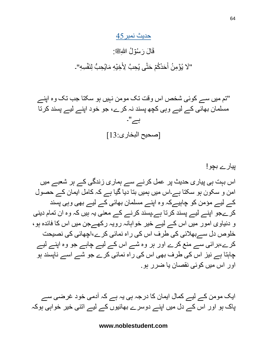#### حدیث نمبر45

#### قَالَ رَسُوۡلُ اللّٰهِﷺ: "لَا يُوۡمِنُ أَحَدُكُمۡ حَتّٰى يُحِبَّ لِأَخِيۡهِ مَايُحِبُّ لِنَفۡسِهِ"۔ ن<br>-َ ُّ

"تم میں سے کوئی شخص اس وقت تک مومن نہیں ہو سکتا جب تک وہ اپنے مسلمان بهائی کے لیے وہی کچه پسند نہ کرے، جو خود اپنے لیے پسند کرتا ہے"۔ ]صحیح البخاری13:[

پیارے بچو! اس بہت ہی پیاری حدیث پر عمل کرنے سے ہماری زندگی کے ہر شعبے میں امن و سکون ہو سکتا ہے۔اس میں ہمیں بتا دیا گیا ہے کہ کامل ایمان کے حصول کے لیے مؤمن کو چاہیےکہ وہ اپنے مسلمان بهائی کے لیے بهی وہی پسند کرےجو اپنے لیے پسند کرتا ہے۔پسند کرنے کے معنی یہ ہیں کہ وہ ان تمام دینی و دنیاوی امور میں اس کے لیے خیر خواہانہ رویہ رکهےجن میں اس کا فائدہ ہو، خلوص دل سےبهالئی کی طرف اس کی راہ نمائی کرے،اچهائی کی نصیحت کرے،برائی سے منع کرے اور ہر وہ شے اس کے لیے چاہے جو وہ اپنے لیے چاہتا ہے نیز اس کی طرف بهی اس کی راہ نمائی کرے جو شے اسے ناپسند ہو اور اس میں کوئی نقصان یا ضرر ہو.

ایک مومن کے لیے کمال ایمان کا درجہ ہی یہ ہے کہ آدمی خود غرضی سے پاک ہو اور اس کے دل میں اپنے دوسرے بهائیوں کے لیے اتنی خیر خواہی ہوکہ